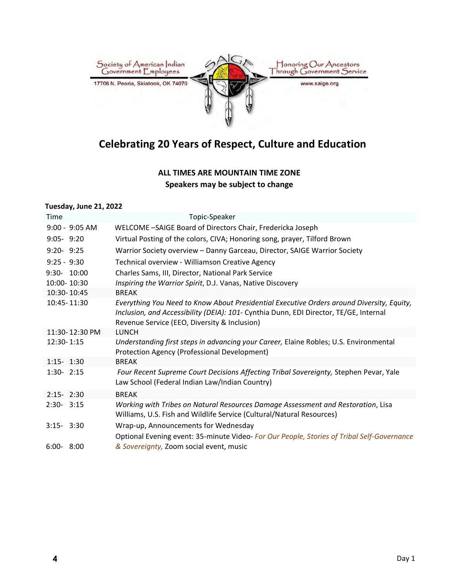

# **Celebrating 20 Years of Respect, Culture and Education**

### **ALL TIMES ARE MOUNTAIN TIME ZONE Speakers may be subject to change**

#### **Tuesday, June 21, 2022**

| Time             | Topic-Speaker                                                                                                                                                                                                                      |
|------------------|------------------------------------------------------------------------------------------------------------------------------------------------------------------------------------------------------------------------------------|
| $9:00 - 9:05$ AM | WELCOME -SAIGE Board of Directors Chair, Fredericka Joseph                                                                                                                                                                         |
| $9:05 - 9:20$    | Virtual Posting of the colors, CIVA; Honoring song, prayer, Tilford Brown                                                                                                                                                          |
| $9:20 - 9:25$    | Warrior Society overview - Danny Garceau, Director, SAIGE Warrior Society                                                                                                                                                          |
| $9:25 - 9:30$    | Technical overview - Williamson Creative Agency                                                                                                                                                                                    |
| 9:30- 10:00      | Charles Sams, III, Director, National Park Service                                                                                                                                                                                 |
| 10:00-10:30      | Inspiring the Warrior Spirit, D.J. Vanas, Native Discovery                                                                                                                                                                         |
| 10:30-10:45      | <b>BREAK</b>                                                                                                                                                                                                                       |
| 10:45-11:30      | Everything You Need to Know About Presidential Executive Orders around Diversity, Equity,<br>Inclusion, and Accessibility (DEIA): 101- Cynthia Dunn, EDI Director, TE/GE, Internal<br>Revenue Service (EEO, Diversity & Inclusion) |
| 11:30-12:30 PM   | <b>LUNCH</b>                                                                                                                                                                                                                       |
| 12:30-1:15       | Understanding first steps in advancing your Career, Elaine Robles; U.S. Environmental<br>Protection Agency (Professional Development)                                                                                              |
| $1:15 - 1:30$    | <b>BREAK</b>                                                                                                                                                                                                                       |
| $1:30 - 2:15$    | Four Recent Supreme Court Decisions Affecting Tribal Sovereignty, Stephen Pevar, Yale<br>Law School (Federal Indian Law/Indian Country)                                                                                            |
| $2:15 - 2:30$    | <b>BREAK</b>                                                                                                                                                                                                                       |
| $2:30 - 3:15$    | Working with Tribes on Natural Resources Damage Assessment and Restoration, Lisa<br>Williams, U.S. Fish and Wildlife Service (Cultural/Natural Resources)                                                                          |
| $3:15 - 3:30$    | Wrap-up, Announcements for Wednesday                                                                                                                                                                                               |
| $6:00 - 8:00$    | Optional Evening event: 35-minute Video- For Our People, Stories of Tribal Self-Governance<br>& Sovereignty, Zoom social event, music                                                                                              |
|                  |                                                                                                                                                                                                                                    |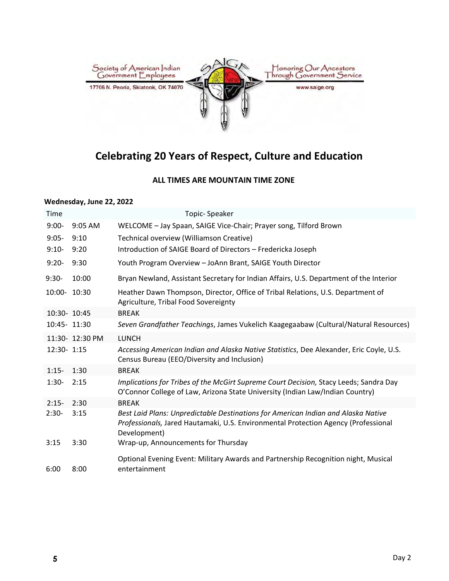

# **Celebrating 20 Years of Respect, Culture and Education**

#### **ALL TIMES ARE MOUNTAIN TIME ZONE**

#### **Wednesday, June 22, 2022**

| Time         |                 | <b>Topic-Speaker</b>                                                                                                                                                                    |
|--------------|-----------------|-----------------------------------------------------------------------------------------------------------------------------------------------------------------------------------------|
| $9:00-$      | 9:05 AM         | WELCOME - Jay Spaan, SAIGE Vice-Chair; Prayer song, Tilford Brown                                                                                                                       |
| $9:05-$      | 9:10            | Technical overview (Williamson Creative)                                                                                                                                                |
| $9:10-$      | 9:20            | Introduction of SAIGE Board of Directors - Fredericka Joseph                                                                                                                            |
| $9:20-$      | 9:30            | Youth Program Overview - JoAnn Brant, SAIGE Youth Director                                                                                                                              |
| $9:30-$      | 10:00           | Bryan Newland, Assistant Secretary for Indian Affairs, U.S. Department of the Interior                                                                                                  |
| 10:00- 10:30 |                 | Heather Dawn Thompson, Director, Office of Tribal Relations, U.S. Department of<br>Agriculture, Tribal Food Sovereignty                                                                 |
| 10:30- 10:45 |                 | <b>BREAK</b>                                                                                                                                                                            |
| 10:45- 11:30 |                 | Seven Grandfather Teachings, James Vukelich Kaagegaabaw (Cultural/Natural Resources)                                                                                                    |
|              | 11:30- 12:30 PM | <b>LUNCH</b>                                                                                                                                                                            |
| 12:30- 1:15  |                 | Accessing American Indian and Alaska Native Statistics, Dee Alexander, Eric Coyle, U.S.<br>Census Bureau (EEO/Diversity and Inclusion)                                                  |
| $1:15-$      | 1:30            | <b>BREAK</b>                                                                                                                                                                            |
| $1:30-$      | 2:15            | Implications for Tribes of the McGirt Supreme Court Decision, Stacy Leeds; Sandra Day<br>O'Connor College of Law, Arizona State University (Indian Law/Indian Country)                  |
| $2:15-$      | 2:30            | <b>BREAK</b>                                                                                                                                                                            |
| $2:30-$      | 3:15            | Best Laid Plans: Unpredictable Destinations for American Indian and Alaska Native<br>Professionals, Jared Hautamaki, U.S. Environmental Protection Agency (Professional<br>Development) |
| 3:15         | 3:30            | Wrap-up, Announcements for Thursday                                                                                                                                                     |
| 6:00         | 8:00            | Optional Evening Event: Military Awards and Partnership Recognition night, Musical<br>entertainment                                                                                     |